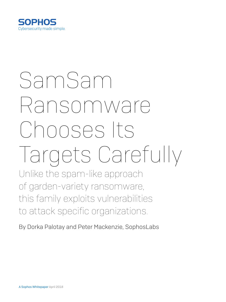

# SamSam Ransomware Chooses Its Targets Carefully

Unlike the spam-like approach of garden-variety ransomware, this family exploits vulnerabilities to attack specific organizations.

By Dorka Palotay and Peter Mackenzie, SophosLabs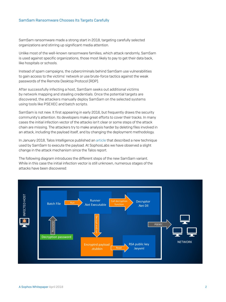#### SamSam Ransomware Chooses Its Targets Carefully

SamSam ransomware made a strong start in 2018, targeting carefully selected organizations and stirring up significant media attention.

Unlike most of the well-known ransomware families, which attack randomly, SamSam is used against specific organizations, those most likely to pay to get their data back, like hospitals or schools.

Instead of spam campaigns, the cybercriminals behind SamSam use vulnerabilities to gain access to the victims' network or use brute-force tactics against the weak passwords of the Remote Desktop Protocol (RDP).

After successfully infecting a host, SamSam seeks out additional victims by network mapping and stealing credentials. Once the potential targets are discovered, the attackers manually deploy SamSam on the selected systems using tools like PSEXEC and batch scripts.

SamSam is not new. It first appearing in early 2016, but frequently draws the security community's attention. Its developers make great efforts to cover their tracks. In many cases the initial infection vector of the attacks isn't clear or some steps of the attack chain are missing. The attackers try to make analysis harder by deleting files involved in an attack, including the payload itself, and by changing the deployment methodology.

In January 2018, Talos Intelligence published an [article](https://blog.talosintelligence.com/2018/01/samsam-evolution-continues-netting-over.html) that described a new technique used by SamSam to execute the payload. At SophosLabs we have observed a slight change in the attack mechanism since the Talos report.

The following diagram introduces the different steps of the new SamSam variant. While in this case the initial infection vector is still unknown, numerous stages of the attacks have been discovered:

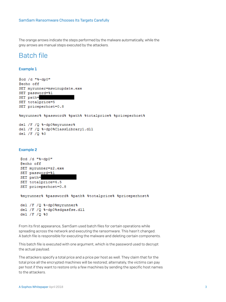The orange arrows indicate the steps performed by the malware automatically, while the grey arrows are manual steps executed by the attackers.

### Batch file

#### Example 1

```
@cd /d "%~dp0"
@echo off
SET myrunner=mswinupdate.exe
SET password=%1
SET path=
SET totalprice=5
SET priceperhost=0.8
%myrunner% %password% %path% %totalprice% %priceperhost%
del /F /Q %~dp0%myrunner%
del /F /Q %~dp0%ClassLibrary1.dll
del /F /Q %0
Example 2
```

```
@cd /d "%~dp0"
@echo off
SET myrunner=z2.exe
SET password=%1
SET path=
SET totalprice=4.5
SET priceperhost=0.8
```
%myrunner% %password% %path% %totalprice% %priceperhost%

```
del /F /Q %~dp0%myrunner%
del /F /Q %~dp0%sdgasfse.dll
del /F /Q %0
```
From its first appearance, SamSam used batch files for certain operations while spreading across the network and executing the ransomware. This hasn't changed. A batch file is responsible for executing the malware and deleting certain components.

This batch file is executed with one argument, which is the password used to decrypt the actual payload.

The attackers specify a total price and a price per host as well. They claim that for the total price all the encrypted machines will be restored; alternately, the victims can pay per host if they want to restore only a few machines by sending the specific host names to the attackers.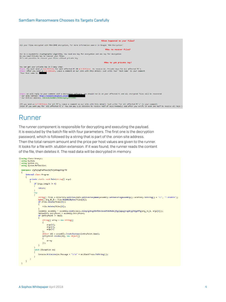

## Runner

The runner component is responsible for decrypting and executing the payload. It is executed by the batch file with four parameters. The first one is the decryption password, which is followed by a string that is part of the .onion site address. Then the total ransom amount and the price per host values are given to the runner. It looks for a file with .stubbin extension. If it was found, the runner reads the content of the file, then deletes it. The read data will be decrypted in memory.

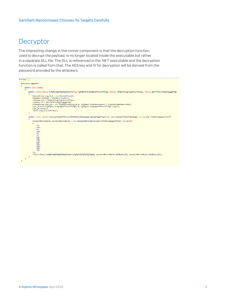## **Decryptor**

The interesting change in the runner component is that the decryption function, used to decrypt the payload, is no longer located inside the executable but rather in a separate DLL file. The DLL is referenced in the .NET executable and the decryption function is called from that. The AES key and IV for decryption will be derived from the password provided by the attackers.

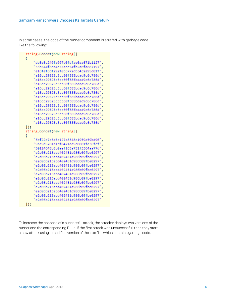In some cases, the code of the runner component is stuffed with garbage code like the following:

```
string.Concat(new string[]
Ł
    "dd6e3c249fa997d0fdfae0aa671b1127",
    "33b544f8ca4e55aee54fb2a6fa887197"
    "e16fef6bf292f0c6772db3432a95d01f"
    "a16cc29525c3cc60f385bdad9c6c786d",
    "a16cc29525c3cc60f385bdad9c6c786d",
    "a16cc29525c3cc60f385bdad9c6c786d"
    "a16cc29525c3cc60f385bdad9c6c786d"
    "a16cc29525c3cc60f385bdad9c6c786d"
    "a16cc29525c3cc60f385bdad9c6c786d"
    "a16cc29525c3cc60f385bdad9c6c786d",
    "a16cc29525c3cc60f385bdad9c6c786d",
    "a16cc29525c3cc60f385bdad9c6c786d",
    "a16cc29525c3cc60f385bdad9c6c786d",
    "a16cc29525c3cc60f385bdad9c6c786d"
    "a16cc29525c3cc60f385bdad9c6c786d"
\});
string.Concat(new string[]
€
    "3bf22c7c3d5e127a8348c1959a59bd90",
    "9ae9d5781a1bf0421ed9c0001fe36fcf",
    "50124648b8c0aef165a751f3364aa77d"
    "e2d03b213abd402451d986b09fbe0297"
    "e2d03b213abd402451d986b09fbe0297"
    "e2d03b213abd402451d986b09fbe0297"
    "e2d03b213abd402451d986b09fbe0297"
    "e2d03b213abd402451d986b09fbe0297"
    "e2d03b213abd402451d986b09fbe0297",
    "e2d03b213abd402451d986b09fbe0297"
    "e2d03b213abd402451d986b09fbe0297"
    "e2d03b213abd402451d986b09fbe0297"
    "e2d03b213abd402451d986b09fbe0297'
    "e2d03b213abd402451d986b09fbe0297'
    "e2d03b213abd402451d986b09fbe0297"
\{\}
```
To increase the chances of a successful attack, the attacker deploys two versions of the runner and the corresponding DLLs. If the first attack was unsuccessful, then they start a new attack using a modified version of the .exe file, which contains garbage code.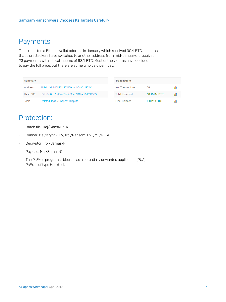## Payments

Talos reported a Bitcoin wallet address in January which received 30.4 BTC. It seems that the attackers have switched to another address from mid-January. It received 23 payments with a total income of 68.1 BTC. Most of the victims have decided to pay the full price, but there are some who paid per host.

| <b>Summary</b>  |                                          | <b>Transactions</b>   |              |  |
|-----------------|------------------------------------------|-----------------------|--------------|--|
| Address         | 1HbJu2kL4xDNK1L9YUDkJnqh3yiC119YM2       | No. Transactions      | 38           |  |
| <b>Hash 160</b> | b5ff184f8cd7d06aa79e2c96e8946aa564831583 | <b>Total Received</b> | 68.10114 BTC |  |
| Tools           | Related Tags - Unspent Outputs           | <b>Final Balance</b>  | 0.00114 BTC  |  |

# Protection:

- **Batch file: Troj/RansRun-A**
- $\cdot$  Runner: Mal/Kryptik-BV, Troj/Ransom-EVF, ML/PE-A
- **Decryptor: Troj/Samas-F**
- Ì Payload: Mal/Samas-C
- $\cdot$  The PsExec program is blocked as a potentially unwanted application (PUA): PsExec of type Hacktool.